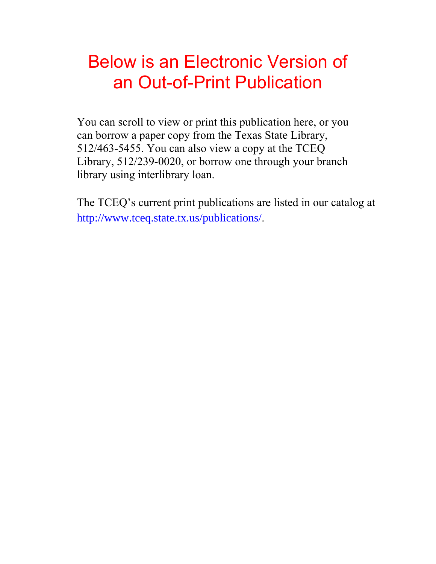# Below is an Electronic Version of an Out-of-Print Publication

You can scroll to view or print this publication here, or you can borrow a paper copy from the Texas State Library, 512/463-5455. You can also view a copy at the TCEQ Library, 512/239-0020, or borrow one through your branch library using interlibrary loan.

The TCEQ's current print publications are listed in our catalog at [http://www.tceq.state.tx.us/](http://www.tceq.state.tx.us/publications/)publications/.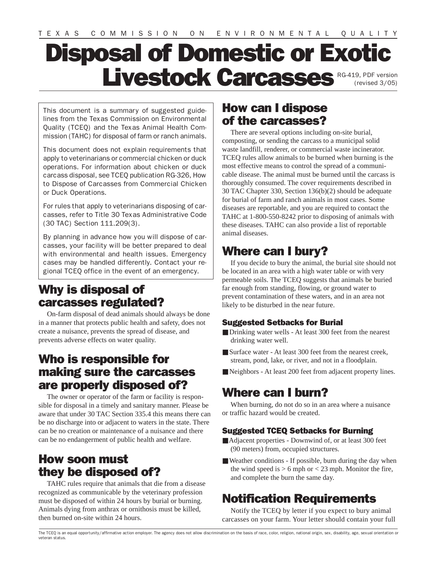# Disposal of Domestic or Exotic Livestock Carcasses RG-419, PDF version

This document is a summary of suggested guidelines from the Texas Commission on Environmental Quality (TCEQ) and the Texas Animal Health Commission (TAHC) for disposal of farm or ranch animals.

This document does not explain requirements that apply to veterinarians or commercial chicken or duck operations. For information about chicken or duck carcass disposal, see TCEQ publication RG-326, How to Dispose of Carcasses from Commercial Chicken or Duck Operations.

For rules that apply to veterinarians disposing of carcasses, refer to Title 30 Texas Administrative Code (30 TAC) Section 111.209(3).

By planning in advance how you will dispose of carcasses, your facility will be better prepared to deal with environmental and health issues. Emergency cases may be handled differently. Contact your regional TCEQ office in the event of an emergency.

#### Why is disposal of carcasses regulated?

On-farm disposal of dead animals should always be done in a manner that protects public health and safety, does not create a nuisance, prevents the spread of disease, and prevents adverse effects on water quality.

#### Who is responsible for making sure the carcasses are properly disposed of?

The owner or operator of the farm or facility is responsible for disposal in a timely and sanitary manner. Please be aware that under 30 TAC Section 335.4 this means there can be no discharge into or adjacent to waters in the state. There can be no creation or maintenance of a nuisance and there can be no endangerment of public health and welfare.

#### How soon must they be disposed of?

TAHC rules require that animals that die from a disease recognized as communicable by the veterinary profession must be disposed of within 24 hours by burial or burning. Animals dying from anthrax or ornithosis must be killed, then burned on-site within 24 hours.

#### How can I dispose of the carcasses?

There are several options including on-site burial, composting, or sending the carcass to a municipal solid waste landfill, renderer, or commercial waste incinerator. TCEQ rules allow animals to be burned when burning is the most effective means to control the spread of a communicable disease. The animal must be burned until the carcass is thoroughly consumed. The cover requirements described in 30 TAC Chapter 330, Section 136(b)(2) should be adequate for burial of farm and ranch animals in most cases. Some diseases are reportable, and you are required to contact the TAHC at 1-800-550-8242 prior to disposing of animals with these diseases. TAHC can also provide a list of reportable animal diseases.

### Where can I bury?

If you decide to bury the animal, the burial site should not be located in an area with a high water table or with very permeable soils. The TCEQ suggests that animals be buried far enough from standing, flowing, or ground water to prevent contamination of these waters, and in an area not likely to be disturbed in the near future.

#### Suggested Setbacks for Burial

- Drinking water wells At least 300 feet from the nearest drinking water well.
- Surface water At least 300 feet from the nearest creek, stream, pond, lake, or river, and not in a floodplain.
- Neighbors At least 200 feet from adjacent property lines.

#### Where can I burn?

When burning, do not do so in an area where a nuisance or traffic hazard would be created.

#### Suggested TCEQ Setbacks for Burning

- Adjacent properties Downwind of, or at least 300 feet (90 meters) from, occupied structures.
- Weather conditions If possible, burn during the day when the wind speed is  $> 6$  mph or  $< 23$  mph. Monitor the fire, and complete the burn the same day.

## Notification Requirements

Notify the TCEQ by letter if you expect to bury animal carcasses on your farm. Your letter should contain your full

The TCEQ is an equal opportunity/affirmative action employer. The agency does not allow discrimination on the basis of race, color, religion, national origin, sex, disability, age, sexual orientation or veteran status.